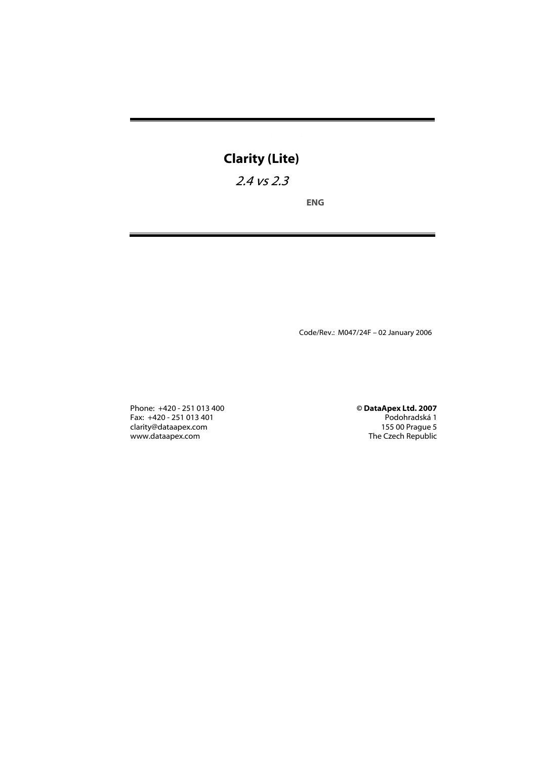# Clarity (Lite)

# 2.4 vs 2.3

ENG

Code/Rev.: M047/24F – 02 January 2006

Phone: +420 - 251 013 400 © DataApex Ltd. 2007 Fax: +420 - 251 013 401 Podohradská 1 clarity@dataapex.com 155 00 Prague 5 www.dataapex.com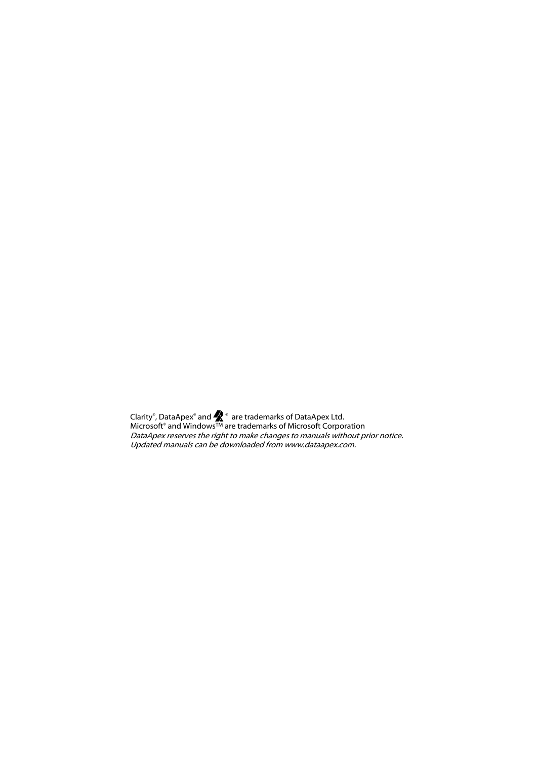Clarity®, DataApex® and  $\blacktriangleright$  ® are trademarks of DataApex Ltd. Microsoft® and WindowsTM are trademarks of Microsoft Corporation DataApex reserves the right to make changes to manuals without prior notice. Updated manuals can be downloaded from www.dataapex.com.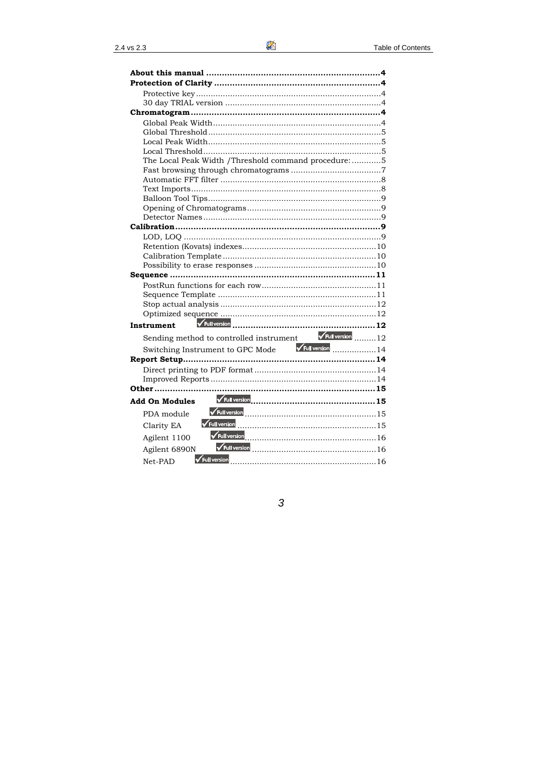| The Local Peak Width /Threshold command procedure: 5          |  |
|---------------------------------------------------------------|--|
|                                                               |  |
|                                                               |  |
|                                                               |  |
|                                                               |  |
|                                                               |  |
|                                                               |  |
|                                                               |  |
|                                                               |  |
|                                                               |  |
|                                                               |  |
|                                                               |  |
|                                                               |  |
|                                                               |  |
|                                                               |  |
|                                                               |  |
|                                                               |  |
| <b>Instrument</b>                                             |  |
| Sending method to controlled instrument VFull version  12     |  |
| Switching Instrument to GPC Mode<br><b>VEUI Version</b><br>14 |  |
|                                                               |  |
|                                                               |  |
|                                                               |  |
|                                                               |  |
|                                                               |  |
| <b>Add On Modules</b>                                         |  |
| PDA module                                                    |  |
| Clarity EA                                                    |  |
| Agilent 1100                                                  |  |
| Agilent 6890N                                                 |  |
| Full version<br>Net-PAD                                       |  |

X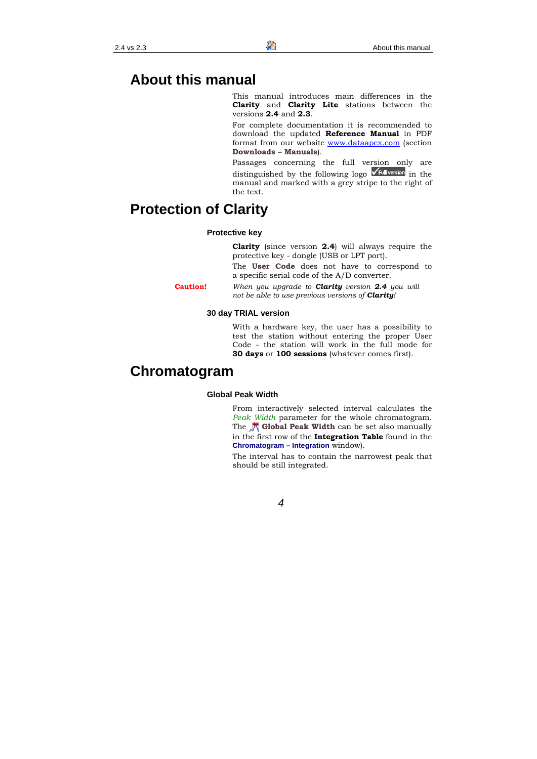### **About this manual**

This manual introduces main differences in the **Clarity** and **Clarity Lite** stations between the versions **2.4** and **2.3**.

For complete documentation it is recommended to download the updated **Reference Manual** in PDF format from our website www.dataapex.com (section **Downloads – Manuals**).

Passages concerning the full version only are distinguished by the following logo  $\sqrt{\frac{F_{\text{full}}}{F_{\text{total}}}}$  in the manual and marked with a grey stripe to the right of the text.

## **Protection of Clarity**

#### **Protective key**

**Clarity** (since version **2.4**) will always require the protective key - dongle (USB or LPT port).

The **User Code** does not have to correspond to a specific serial code of the A/D converter.

**Caution!** *When you upgrade to Clarity version 2.4 you will not be able to use previous versions of Clarity!* 

#### **30 day TRIAL version**

With a hardware key, the user has a possibility to test the station without entering the proper User Code - the station will work in the full mode for **30 days** or **100 sessions** (whatever comes first).

### **Chromatogram**

#### **Global Peak Width**

From interactively selected interval calculates the *Peak Width* parameter for the whole chromatogram. The **Global Peak Width** can be set also manually in the first row of the **Integration Table** found in the **Chromatogram – Integration** window).

The interval has to contain the narrowest peak that should be still integrated.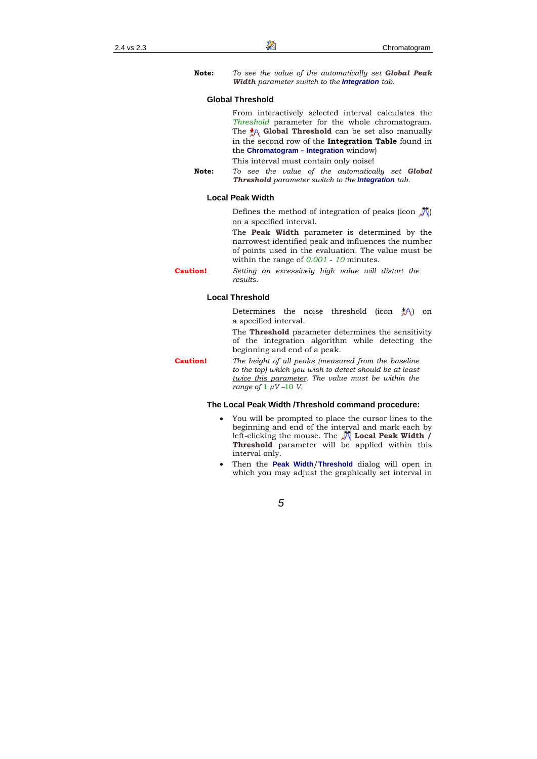**Note:** *To see the value of the automatically set Global Peak Width parameter switch to the Integration tab.* 

#### **Global Threshold**

From interactively selected interval calculates the *Threshold* parameter for the whole chromatogram. The **A Global Threshold** can be set also manually in the second row of the **Integration Table** found in the **Chromatogram – Integration** window)

This interval must contain only noise!

**Note:** *To see the value of the automatically set Global Threshold parameter switch to the Integration tab.* 

#### **Local Peak Width**

Defines the method of integration of peaks (icon  $\sqrt{\lambda}$ ) on a specified interval.

The **Peak Width** parameter is determined by the narrowest identified peak and influences the number of points used in the evaluation. The value must be within the range of *0.001* - *10* minutes.

**Caution!** *Setting an excessively high value will distort the results.* 

#### **Local Threshold**

Determines the noise threshold (icon  $\frac{1}{6}$ A) on a specified interval.

The **Threshold** parameter determines the sensitivity of the integration algorithm while detecting the beginning and end of a peak.

**Caution!** *The height of all peaks (measured from the baseline to the top) which you wish to detect should be at least twice this parameter. The value must be within the range of* 1 *µV –*10 *V.* 

#### **The Local Peak Width /Threshold command procedure:**

- You will be prompted to place the cursor lines to the beginning and end of the interval and mark each by left-clicking the mouse. The **Local Peak Width / Threshold** parameter will be applied within this interval only.
- Then the **Peak Width**/**Threshold** dialog will open in which you may adjust the graphically set interval in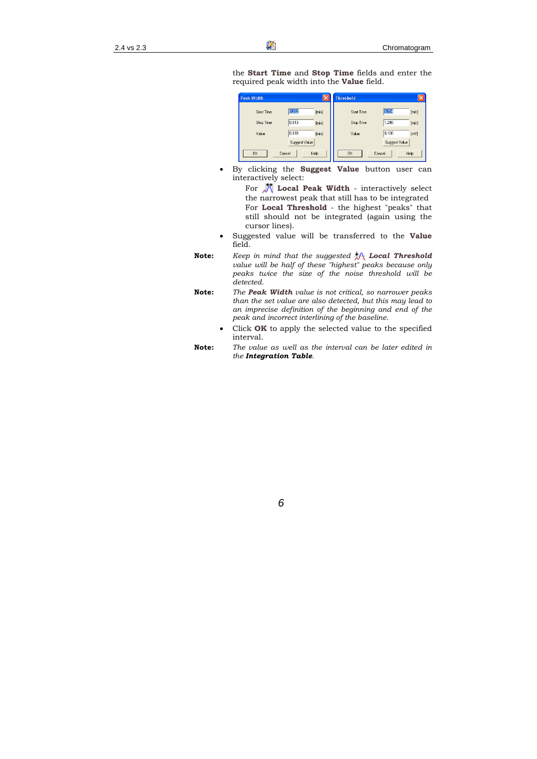the **Start Time** and **Stop Time** fields and enter the required peak width into the **Value** field.



• By clicking the **Suggest Value** button user can interactively select:

> For **Local Peak Width** - interactively select the narrowest peak that still has to be integrated For **Local Threshold** - the highest "peaks" that still should not be integrated (again using the cursor lines).

- Suggested value will be transferred to the **Value** field.
- **Note:** *Keep in mind that the suggested Local Threshold value will be half of these "highest" peaks because only peaks twice the size of the noise threshold will be detected.*
- **Note:** *The Peak Width value is not critical, so narrower peaks than the set value are also detected, but this may lead to an imprecise definition of the beginning and end of the peak and incorrect interlining of the baseline.* 
	- Click **OK** to apply the selected value to the specified interval.
- **Note:** *The value as well as the interval can be later edited in the Integration Table.*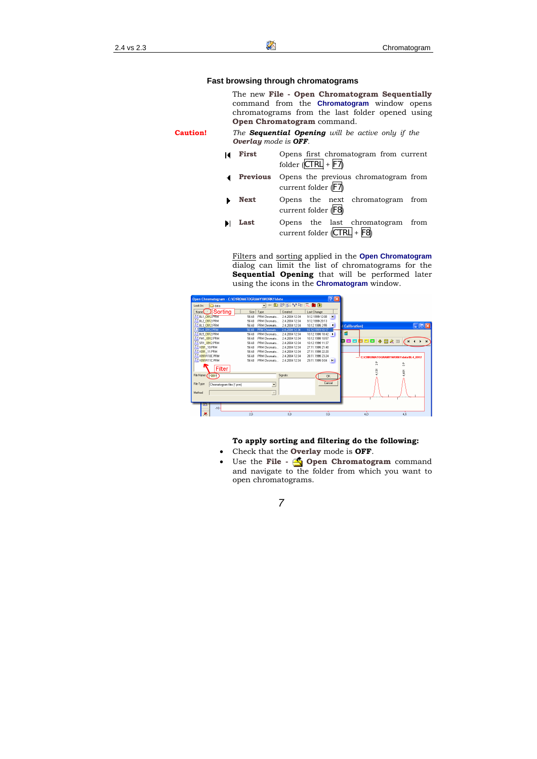#### **Fast browsing through chromatograms**

The new **File - Open Chromatogram Sequentially** command from the **Chromatogram** window opens chromatograms from the last folder opened using **Open Chromatogram** command.

**Caution!** *The Sequential Opening will be active only if the Overlay mode is OFF.* 

- **First** Opens first chromatogram from current folder  $|CTRL| + |F7|$ 
	- **Previous** Opens the previous chromatogram from current folder (F7)
	- **Next** Opens the next chromatogram from current folder (F8)
- **Last** Opens the last chromatogram from current folder (CTRL + F8)

Filters and sorting applied in the **Open Chromatogram** dialog can limit the list of chromatograms for the **Sequential Opening** that will be performed later using the icons in the **Chromatogram** window.

| Open Chromatogram - C:\CHROMATOGRAMY\WORK1\data |                                |                |                  | $\sqrt{2}$            |                                      |                        |
|-------------------------------------------------|--------------------------------|----------------|------------------|-----------------------|--------------------------------------|------------------------|
| Look In:<br>asta                                | $\overline{\phantom{a}}$<br>4n | 自进田學生元自向       |                  |                       |                                      |                        |
| ∄Sorting<br>Name                                | Type<br>Size                   | Created        | Last Change      |                       |                                      |                        |
| A& BL1 0912 PRM                                 | 56 kB<br>PRM Chromato          | 24 2004 12:34  | 912.1999 12:08   | $\blacksquare$        |                                      |                        |
| AA BL2_0912.PRM                                 | 56 kB<br>PRM Chromato          | 24.2004 12:34  | 9.12.1999 20:13  |                       |                                      |                        |
| AA BL3 0912.PRM                                 | 56 kB<br>PRM Chromato          | 24.2004 12:34  | 10.12.1999 2:55  | $\blacktriangleleft$  | d Calibration)                       | $\Box$ $\Box$ $\times$ |
| <b>AH BL4 0912.PRM</b>                          | 56 kB<br>PRM Chromato          | 2.4.2004 12:34 | 10.12.1999 10:17 |                       |                                      |                        |
| A & BL5 0912 PRM                                | <b>PRM Chromato</b><br>56 kB   | 2.4.2004 12:34 | 101219991842 1   |                       | Ħ                                    |                        |
| AA FM1_0912 PRM                                 | <b>PRM Chromato</b><br>56 kB   | 2.4.2004 12:34 | 101219991057     |                       | 80000                                |                        |
| AA SR1_0912.PRM                                 | 56 kB<br><b>PRM Chromato</b>   | 2.4.2004 12:34 | 10 12 1999 11:37 |                       | ◆図々画                                 |                        |
| A & X091 10 PRM                                 | 56 kB<br>PRM Chromato          | 2.4.2004 12:34 | 27 11 1999 21:40 |                       |                                      |                        |
| A & X091 11 PRM                                 | 56 kB<br><b>PRM Chromato</b>   | 24 2004 12:34  | 27.11.1999 22:20 |                       |                                      |                        |
| A & X091R10C.PRM                                | 56 kB<br>PRM Chromato          | 24 2004 12:34  | 28.11.1999.23.24 |                       | -C:\CHROMATOGRAMYWORK1\data\BL4_0912 |                        |
| A & X091R11C.PRM                                | 56 kB<br><b>PRM Chromato</b>   | 24.2004 12:34  | 29.11.1999 0:04  | $\blacktriangleright$ |                                      |                        |
|                                                 |                                |                |                  |                       | å                                    | 흤                      |
| Filter                                          |                                |                |                  |                       | ë                                    |                        |
| File Name (10911)                               |                                | Signals:       | <b>OK</b>        |                       |                                      | 59                     |
|                                                 |                                |                |                  |                       |                                      |                        |
| File Type<br>Chromatogram files (*.prm)         | $\overline{\phantom{a}}$       |                | Cancel           |                       |                                      |                        |
|                                                 |                                |                |                  |                       |                                      |                        |
| Method                                          | $\overline{\phantom{a}}$       |                |                  |                       |                                      |                        |
|                                                 |                                |                |                  |                       |                                      |                        |
|                                                 |                                |                |                  |                       |                                      |                        |
| И۸                                              |                                |                |                  |                       |                                      |                        |
| $-10-$                                          |                                |                |                  |                       |                                      |                        |
| ж                                               | 2,5                            | 3.0            | 3,5              |                       | 4.0                                  | 4,5                    |

#### **To apply sorting and filtering do the following:**

- Check that the **Overlay** mode is **OFF**.
- Use the **File Copen Chromatogram** command and navigate to the folder from which you want to open chromatograms.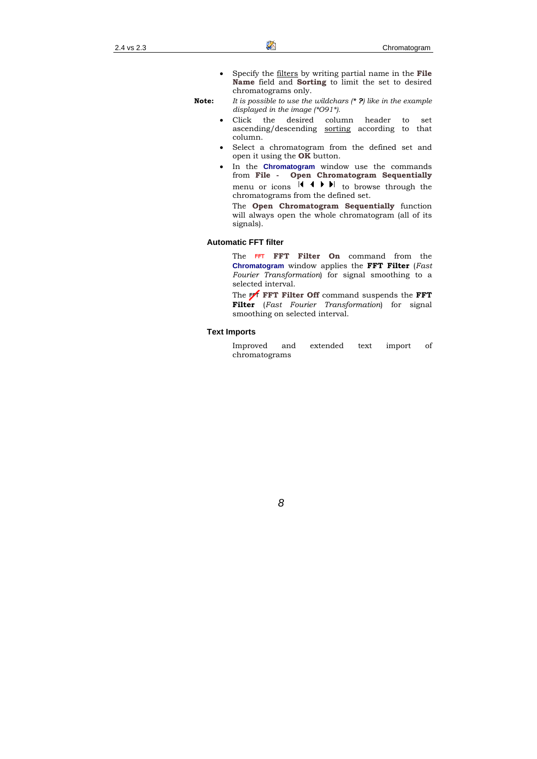• Specify the filters by writing partial name in the **File Name** field and **Sorting** to limit the set to desired chromatograms only.

**Note:** *It is possible to use the wildchars (\* ?) like in the example displayed in the image (\*O91\*).* 

- Click the desired column header to set ascending/descending sorting according to that column.
- Select a chromatogram from the defined set and open it using the **OK** button.
- In the **Chromatogram** window use the commands from **File - Open Chromatogram Sequentially** menu or icons  $\mathsf{H} \leftarrow \mathsf{H}$  to browse through the chromatograms from the defined set.

The **Open Chromatogram Sequentially** function will always open the whole chromatogram (all of its signals).

#### **Automatic FFT filter**

The **FFT Filter On** command from the **Chromatogram** window applies the **FFT Filter** (*Fast Fourier Transformation*) for signal smoothing to a selected interval.

The **FFT Filter Off** command suspends the **FFT Filter** (*Fast Fourier Transformation*) for signal smoothing on selected interval.

#### **Text Imports**

Improved and extended text import of chromatograms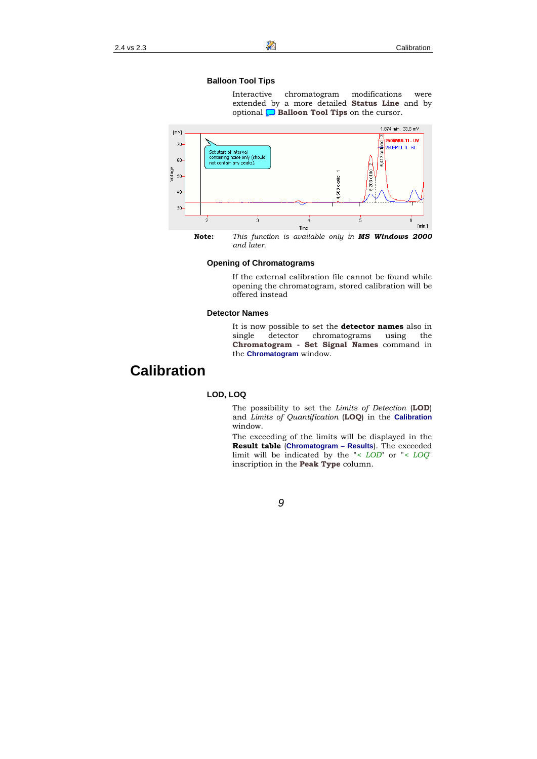#### **Balloon Tool Tips**

Interactive chromatogram modifications were extended by a more detailed **Status Line** and by optional **D** Balloon Tool Tips on the cursor.



**Note:** *This function is available only in MS Windows 2000 and later.* 

#### **Opening of Chromatograms**

If the external calibration file cannot be found while opening the chromatogram, stored calibration will be offered instead

#### **Detector Names**

It is now possible to set the **detector names** also in single detector chromatograms using the **Chromatogram - Set Signal Names** command in the **Chromatogram** window.

### **Calibration**

#### **LOD, LOQ**

The possibility to set the *Limits of Detection* (**LOD**) and *Limits of Quantification* (**LOQ**) in the **Calibration** window.

The exceeding of the limits will be displayed in the **Result table** (**Chromatogram – Results**). The exceeded limit will be indicated by the "*< LOD*" or "*< LOQ*" inscription in the **Peak Type** column.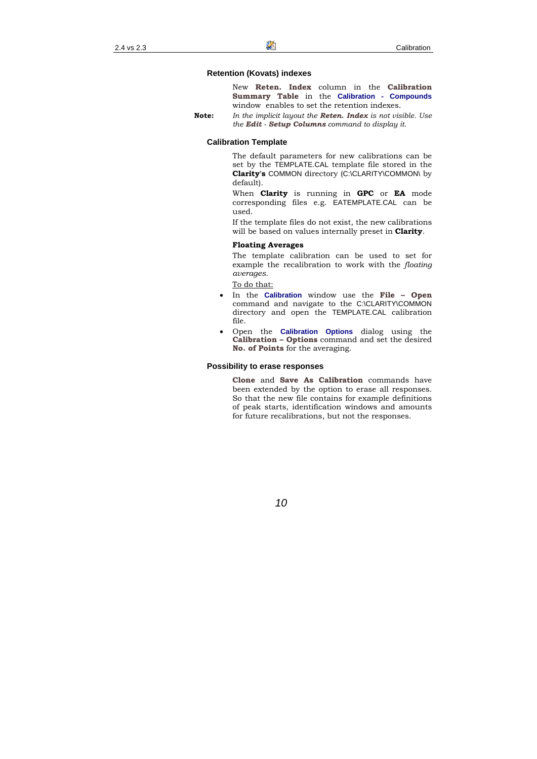#### **Retention (Kovats) indexes**

New **Reten. Index** column in the **Calibration Summary Table** in the **Calibration - Compounds** window enables to set the retention indexes.

**Note:** *In the implicit layout the Reten. Index is not visible. Use the Edit - Setup Columns command to display it.* 

#### **Calibration Template**

The default parameters for new calibrations can be set by the TEMPLATE.CAL template file stored in the **Clarity's** COMMON directory (C:\CLARITY\COMMON\ by default).

When **Clarity** is running in **GPC** or **EA** mode corresponding files e.g. EATEMPLATE.CAL can be used.

If the template files do not exist, the new calibrations will be based on values internally preset in **Clarity**.

#### **Floating Averages**

The template calibration can be used to set for example the recalibration to work with the *floating averages*.

To do that:

- In the **Calibration** window use the **File Open** command and navigate to the C:\CLARITY\COMMON directory and open the TEMPLATE.CAL calibration file.
- Open the **Calibration Options** dialog using the **Calibration – Options** command and set the desired **No. of Points** for the averaging.

#### **Possibility to erase responses**

**Clone** and **Save As Calibration** commands have been extended by the option to erase all responses. So that the new file contains for example definitions of peak starts, identification windows and amounts for future recalibrations, but not the responses.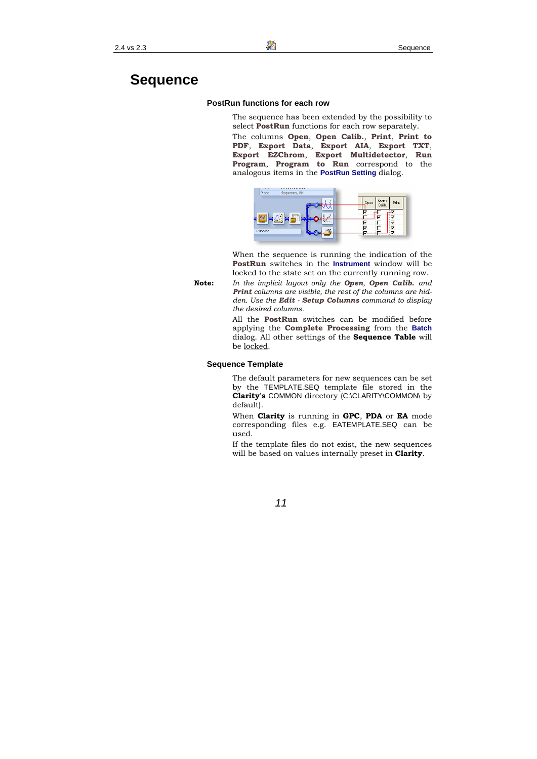### **PostRun functions for each row**

The sequence has been extended by the possibility to select **PostRun** functions for each row separately.

The columns **Open**, **Open Calib.**, **Print**, **Print to PDF**, **Export Data**, **Export AIA**, **Export TXT**, **Export EZChrom**, **Export Multidetector**, **Run Program**, **Program to Run** correspond to the analogous items in the **PostRun Setting** dialog.



When the sequence is running the indication of the **PostRun** switches in the **Instrument** window will be locked to the state set on the currently running row.

**Note:** *In the implicit layout only the Open, Open Calib. and Print columns are visible, the rest of the columns are hidden. Use the Edit - Setup Columns command to display the desired columns.* 

> All the **PostRun** switches can be modified before applying the **Complete Processing** from the **Batch** dialog. All other settings of the **Sequence Table** will be locked.

### **Sequence Template**

The default parameters for new sequences can be set by the TEMPLATE.SEQ template file stored in the **Clarity's** COMMON directory (C:\CLARITY\COMMON\ by default).

When **Clarity** is running in **GPC**, **PDA** or **EA** mode corresponding files e.g. EATEMPLATE.SEQ can be used.

If the template files do not exist, the new sequences will be based on values internally preset in **Clarity**.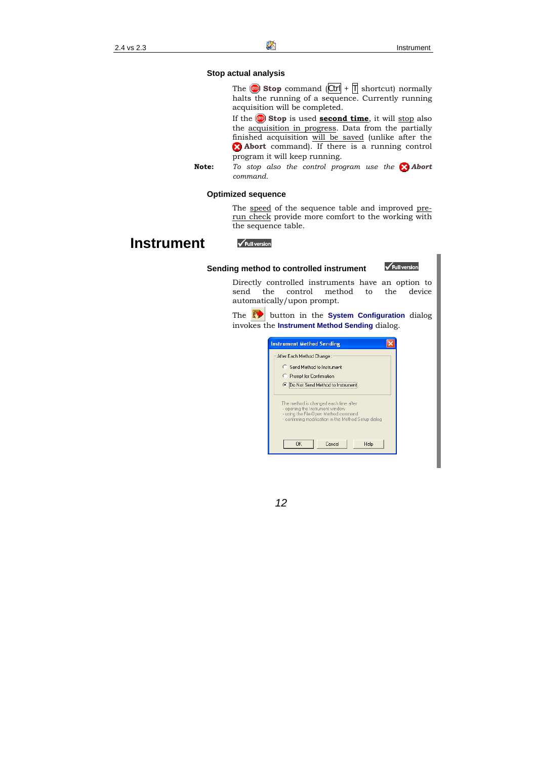#### **Stop actual analysis**

The  $\omega$  **Stop** command  $|\text{Ctrl}| + |\text{T}|$  shortcut) normally halts the running of a sequence. Currently running acquisition will be completed.

If the **Stop** is used **second time**, it will stop also the acquisition in progress. Data from the partially finished acquisition will be saved (unlike after the **Abort** command). If there is a running control program it will keep running.

**Note:** *To stop also the control program use the Abort command.* 

#### **Optimized sequence**

The speed of the sequence table and improved prerun check provide more comfort to the working with the sequence table.

### **Instrument**

#### Full version

#### **Sending method to controlled instrument**

Full version

Directly controlled instruments have an option to send the control method to the device automatically/upon prompt.

The button in the **System Configuration** dialog invokes the **Instrument Method Sending** dialog.

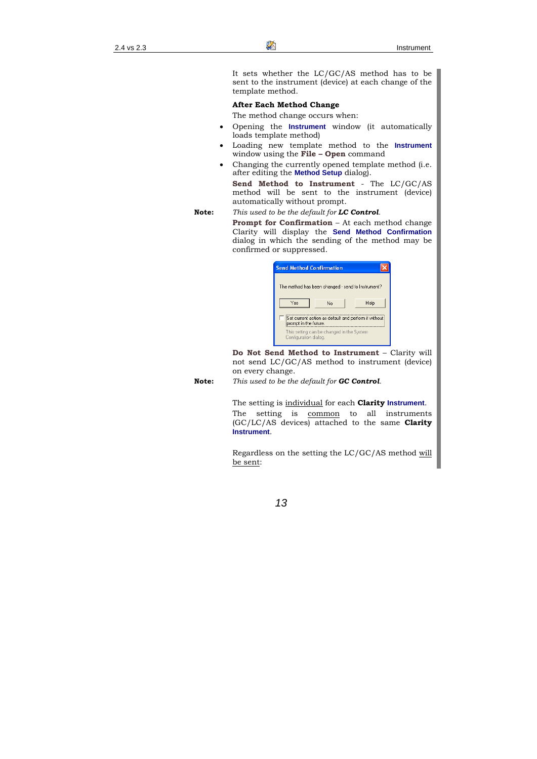It sets whether the LC/GC/AS method has to be sent to the instrument (device) at each change of the template method.

#### **After Each Method Change**

The method change occurs when:

- Opening the **Instrument** window (it automatically loads template method)
- Loading new template method to the **Instrument** window using the **File – Open** command
- Changing the currently opened template method (i.e. after editing the **Method Setup** dialog).

**Send Method to Instrument** - The LC/GC/AS method will be sent to the instrument (device) automatically without prompt.

**Note:** *This used to be the default for LC Control.* 

**Prompt for Confirmation** – At each method change Clarity will display the **Send Method Confirmation** dialog in which the sending of the method may be confirmed or suppressed.

| <b>Send Method Confirmation</b>                                                 |  |  |  |  |  |  |  |
|---------------------------------------------------------------------------------|--|--|--|--|--|--|--|
| The method has been changed - send to Instrument?                               |  |  |  |  |  |  |  |
| Yes<br>Help<br>No                                                               |  |  |  |  |  |  |  |
| Set current action as default and perform it without i<br>prompt in the future. |  |  |  |  |  |  |  |
| This setting can be changed in the System<br>Configuration dialog.              |  |  |  |  |  |  |  |

**Do Not Send Method to Instrument** – Clarity will not send LC/GC/AS method to instrument (device) on every change.

**Note:** *This used to be the default for GC Control.* 

The setting is individual for each **Clarity Instrument**.

The setting is common to all instruments (GC/LC/AS devices) attached to the same **Clarity Instrument**.

Regardless on the setting the LC/GC/AS method will be sent: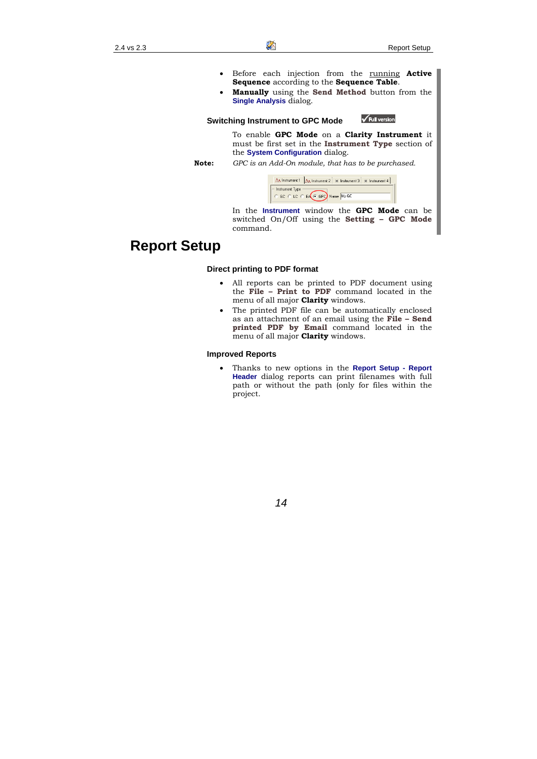- Before each injection from the running **Active Sequence** according to the **Sequence Table**.
- **Manually** using the **Send Method** button from the **Single Analysis** dialog.

#### **Switching Instrument to GPC Mode**



To enable **GPC Mode** on a **Clarity Instrument** it must be first set in the **Instrument Type** section of the **System Configuration** dialog.

**Note:** *GPC is an Add-On module, that has to be purchased.* 



In the **Instrument** window the **GPC Mode** can be switched On/Off using the **Setting – GPC Mode** command.

# **Report Setup**

### **Direct printing to PDF format**

- All reports can be printed to PDF document using the **File – Print to PDF** command located in the menu of all major **Clarity** windows.
- The printed PDF file can be automatically enclosed as an attachment of an email using the **File – Send printed PDF by Email** command located in the menu of all major **Clarity** windows.

#### **Improved Reports**

• Thanks to new options in the **Report Setup - Report Header** dialog reports can print filenames with full path or without the path (only for files within the project.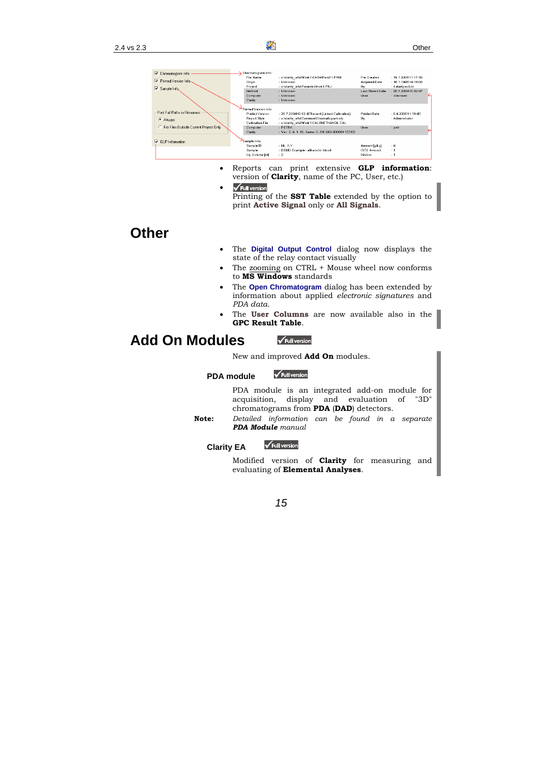

- Reports can print extensive **GLP information**: version of **Clarity**, name of the PC, User, etc.)
- $\sqrt{\text{Full version}}$ Printing of the **SST Table** extended by the option to print **Active Signal** only or **All Signals**.

# **Other**

- The **Digital Output Control** dialog now displays the state of the relay contact visually
- The zooming on CTRL + Mouse wheel now conforms to **MS Windows** standards
- The **Open Chromatogram** dialog has been extended by information about applied *electronic signatures* and *PDA data*.
- The **User Columns** are now available also in the **GPC Result Table**.

#### **Add On Modules**  Full version

New and improved **Add On** modules.

 $\sqrt{\text{Full version}}$ 

#### **PDA module**

PDA module is an integrated add-on module for acquisition, display and evaluation of "3D" chromatograms from **PDA** (**DAD**) detectors.

**Note:** *Detailed information can be found in a separate PDA Module manual* 

### **Clarity EA**



Modified version of **Clarity** for measuring and evaluating of **Elemental Analyses**.